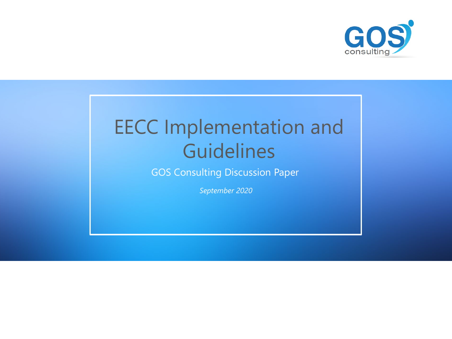GOS Consulting Discussion Paper

*September 2020*



# EECC Implementation and Guidelines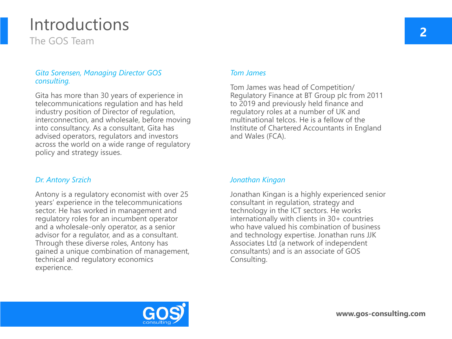### *Gita Sorensen, Managing Director GOS consulting.*

Gita has more than 30 years of experience in telecommunications regulation and has held industry position of Director of regulation, interconnection, and wholesale, before moving into consultancy. As a consultant, Gita has advised operators, regulators and investors across the world on a wide range of regulatory policy and strategy issues.

## Introductions The GOS Team

**2**

### *Tom James*

Tom James was head of Competition/ Regulatory Finance at BT Group plc from 2011 to 2019 and previously held finance and regulatory roles at a number of UK and multinational telcos. He is a fellow of the Institute of Chartered Accountants in England and Wales (FCA).

### *Dr. Antony Srzich*

Antony is a regulatory economist with over 25 years' experience in the telecommunications sector. He has worked in management and regulatory roles for an incumbent operator and a wholesale-only operator, as a senior advisor for a regulator, and as a consultant. Through these diverse roles, Antony has gained a unique combination of management, technical and regulatory economics experience.

### *Jonathan Kingan*

Jonathan Kingan is a highly experienced senior consultant in regulation, strategy and technology in the ICT sectors. He works internationally with clients in 30+ countries who have valued his combination of business and technology expertise. Jonathan runs JJK Associates Ltd (a network of independent consultants) and is an associate of GOS Consulting.

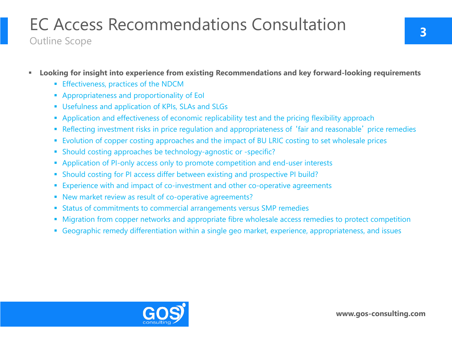## **Looking for insight into experience from existing Recommendations and key forward-looking requirements**

- **Effectiveness, practices of the NDCM**
- **Appropriateness and proportionality of EoI**
- **Usefulness and application of KPIs, SLAs and SLGs**
- **Application and effectiveness of economic replicability test and the pricing flexibility approach**
- Reflecting investment risks in price regulation and appropriateness of 'fair and reasonable' price remedies
- **Evolution of copper costing approaches and the impact of BU LRIC costing to set wholesale prices**
- Should costing approaches be technology-agnostic or -specific?
- Application of PI-only access only to promote competition and end-user interests
- Should costing for PI access differ between existing and prospective PI build?
- **Experience with and impact of co-investment and other co-operative agreements**
- New market review as result of co-operative agreements?
- Status of commitments to commercial arrangements versus SMP remedies
- **Migration from copper networks and appropriate fibre wholesale access remedies to protect competition**
- Geographic remedy differentiation within a single geo market, experience, appropriateness, and issues



## EC Access Recommendations Consultation Outline Scope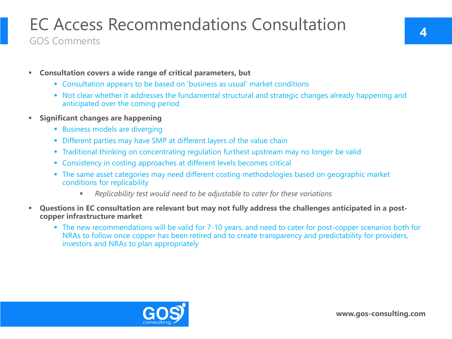- **Consultation covers a wide range of critical parameters, but**
	- Consultation appears to be based on 'business as usual' market conditions
	- Not clear whether it addresses the fundamental structural and strategic changes already happening and anticipated over the coming period
- **Significant changes are happening** 
	- **Business models are diverging**
	- **Different parties may have SMP at different layers of the value chain**
	- **Traditional thinking on concentrating regulation furthest upstream may no longer be valid**
	- **EXP** Consistency in costing approaches at different levels becomes critical
	- **The same asset categories may need different costing methodologies based on geographic market** conditions for replicability
		- *Replicability test would need to be adjustable to cater for these variations*
- **Questions in EC consultation are relevant but may not fully address the challenges anticipated in a postcopper infrastructure market**
	- The new recommendations will be valid for 7-10 years, and need to cater for post-copper scenarios both for NRAs to follow once copper has been retired and to create transparency and predictability for providers, investors and NRAs to plan appropriately



## EC Access Recommendations Consultation GOS Comments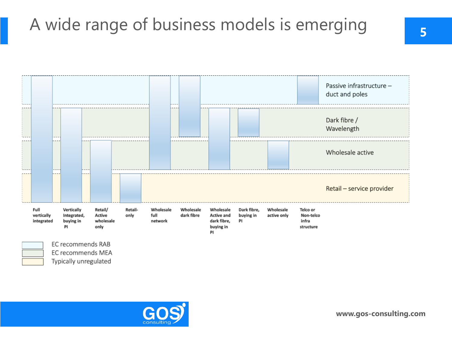# A wide range of business models is emerging **<sup>5</sup>**





EC recommends RAB EC recommends MEA Typically unregulated



|            |                       | Passive infrastructure -<br>duct and poles |
|------------|-----------------------|--------------------------------------------|
|            |                       | Dark fibre /<br>Wavelength                 |
|            |                       | Wholesale active                           |
|            |                       | Retail - service provider                  |
| ale<br>nlv | Telco or<br>Non-telco |                                            |

infra

structure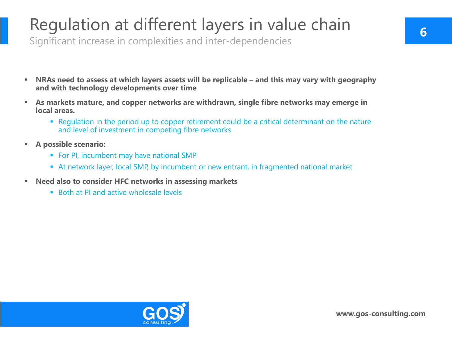- **NRAs need to assess at which layers assets will be replicable – and this may vary with geography and with technology developments over time**
- **As markets mature, and copper networks are withdrawn, single fibre networks may emerge in local areas.**
	- Regulation in the period up to copper retirement could be a critical determinant on the nature and level of investment in competing fibre networks
- **A possible scenario:**
	- **For PI, incumbent may have national SMP**
	- At network layer, local SMP, by incumbent or new entrant, in fragmented national market
- **Need also to consider HFC networks in assessing markets**
	- Both at PI and active wholesale levels



## Regulation at different layers in value chain Significant increase in complexities and inter-dependencies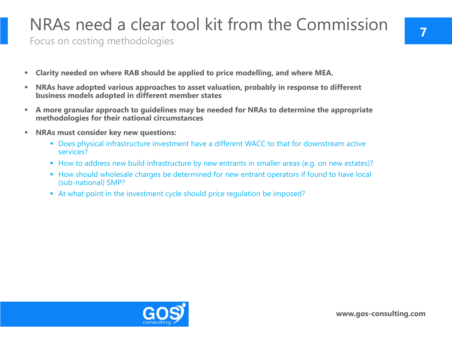- **Clarity needed on where RAB should be applied to price modelling, and where MEA.**
- **NRAs have adopted various approaches to asset valuation, probably in response to different business models adopted in different member states**
- **A more granular approach to guidelines may be needed for NRAs to determine the appropriate methodologies for their national circumstances**
- **NRAs must consider key new questions:**
	- **Does physical infrastructure investment have a different WACC to that for downstream active** services?
	- How to address new build infrastructure by new entrants in smaller areas (e.g. on new estates)?
	- **How should wholesale charges be determined for new entrant operators if found to have local** (sub-national) SMP?
	- At what point in the investment cycle should price regulation be imposed?



# NRAs need a clear tool kit from the Commission

Focus on costing methodologies